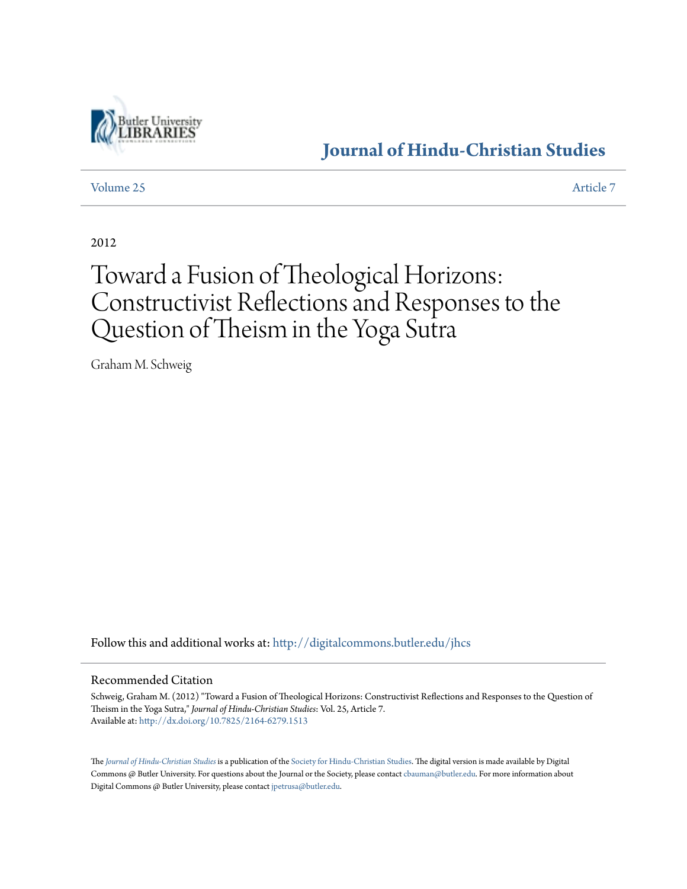

### **[Journal of Hindu-Christian Studies](http://digitalcommons.butler.edu/jhcs?utm_source=digitalcommons.butler.edu%2Fjhcs%2Fvol25%2Fiss1%2F7&utm_medium=PDF&utm_campaign=PDFCoverPages)**

[Volume 25](http://digitalcommons.butler.edu/jhcs/vol25?utm_source=digitalcommons.butler.edu%2Fjhcs%2Fvol25%2Fiss1%2F7&utm_medium=PDF&utm_campaign=PDFCoverPages) [Article 7](http://digitalcommons.butler.edu/jhcs/vol25/iss1/7?utm_source=digitalcommons.butler.edu%2Fjhcs%2Fvol25%2Fiss1%2F7&utm_medium=PDF&utm_campaign=PDFCoverPages)

2012

## Toward a Fusion of Theological Horizons: Constructivist Reflections and Responses to the Question of Theism in the Yoga Sutra

Graham M. Schweig

Follow this and additional works at: [http://digitalcommons.butler.edu/jhcs](http://digitalcommons.butler.edu/jhcs?utm_source=digitalcommons.butler.edu%2Fjhcs%2Fvol25%2Fiss1%2F7&utm_medium=PDF&utm_campaign=PDFCoverPages)

#### Recommended Citation

Schweig, Graham M. (2012) "Toward a Fusion of Theological Horizons: Constructivist Reflections and Responses to the Question of Theism in the Yoga Sutra," *Journal of Hindu-Christian Studies*: Vol. 25, Article 7. Available at: <http://dx.doi.org/10.7825/2164-6279.1513>

The *[Journal of Hindu-Christian Studies](http://digitalcommons.butler.edu/jhcs)* is a publication of the [Society for Hindu-Christian Studies.](http://www.hcstudies.org) The digital version is made available by Digital Commons @ Butler University. For questions about the Journal or the Society, please contact [cbauman@butler.edu.](mailto:cbauman@butler.edu) For more information about Digital Commons @ Butler University, please contact [jpetrusa@butler.edu](mailto:jpetrusa@butler.edu).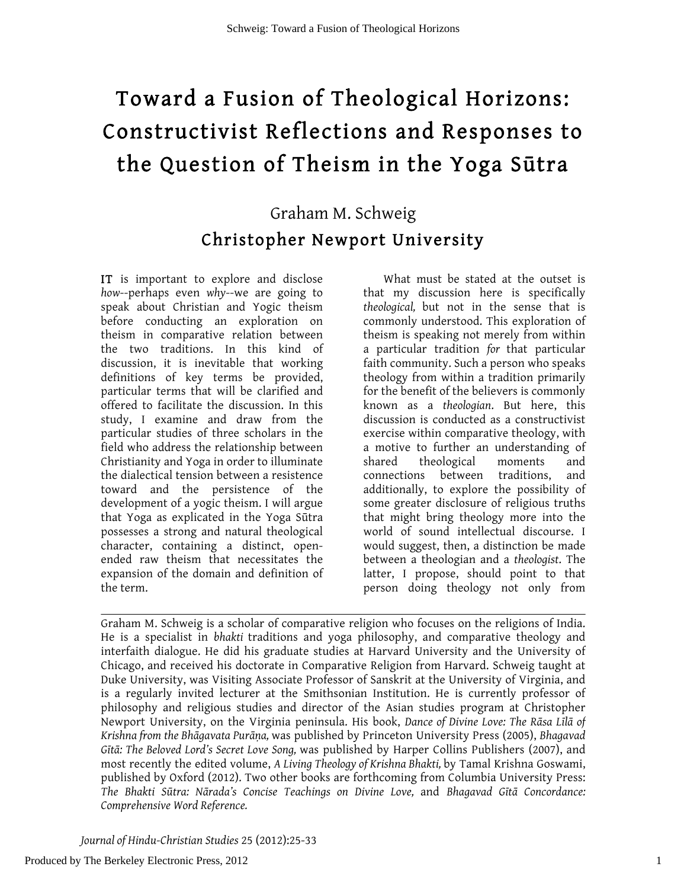# Toward a Fusion of Theological Horizons: Constructivist Reflections and Responses to the Question of Theism in the Yoga Sūtra

## Graham M. Schweig Christopher Newport University

IT is important to explore and disclose *how*--perhaps even *why*--we are going to speak about Christian and Yogic theism before conducting an exploration on theism in comparative relation between the two traditions. In this kind of discussion, it is inevitable that working definitions of key terms be provided, particular terms that will be clarified and offered to facilitate the discussion. In this study, I examine and draw from the particular studies of three scholars in the field who address the relationship between Christianity and Yoga in order to illuminate the dialectical tension between a resistence toward and the persistence of the development of a yogic theism. I will argue that Yoga as explicated in the Yoga Sūtra possesses a strong and natural theological character, containing a distinct, openended raw theism that necessitates the expansion of the domain and definition of the term.

What must be stated at the outset is that my discussion here is specifically *theological,* but not in the sense that is commonly understood. This exploration of theism is speaking not merely from within a particular tradition *for* that particular faith community. Such a person who speaks theology from within a tradition primarily for the benefit of the believers is commonly known as a *theologian*. But here, this discussion is conducted as a constructivist exercise within comparative theology, with a motive to further an understanding of shared theological moments and connections between traditions, and additionally, to explore the possibility of some greater disclosure of religious truths that might bring theology more into the world of sound intellectual discourse. I would suggest, then, a distinction be made between a theologian and a *theologist*. The latter, I propose, should point to that person doing theology not only from

Graham M. Schweig is a scholar of comparative religion who focuses on the religions of India. He is a specialist in *bhakti* traditions and yoga philosophy, and comparative theology and interfaith dialogue. He did his graduate studies at Harvard University and the University of Chicago, and received his doctorate in Comparative Religion from Harvard. Schweig taught at Duke University, was Visiting Associate Professor of Sanskrit at the University of Virginia, and is a regularly invited lecturer at the Smithsonian Institution. He is currently professor of philosophy and religious studies and director of the Asian studies program at Christopher Newport University, on the Virginia peninsula. His book, *Dance of Divine Love: The Rāsa Līlā of Krishna from the Bhāgavata Purāṇa,* was published by Princeton University Press (2005), *Bhagavad Gītā: The Beloved Lord's Secret Love Song,* was published by Harper Collins Publishers (2007), and most recently the edited volume, *A Living Theology of Krishna Bhakti,* by Tamal Krishna Goswami, published by Oxford (2012). Two other books are forthcoming from Columbia University Press: *The Bhakti Sūtra: Nārada's Concise Teachings on Divine Love,* and *Bhagavad Gītā Concordance: Comprehensive Word Reference.*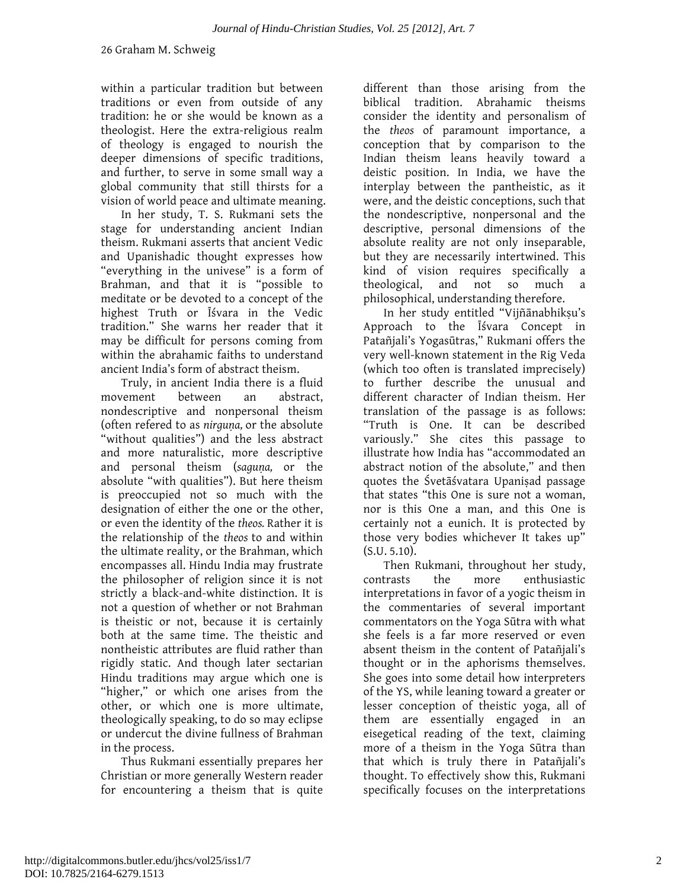within a particular tradition but between traditions or even from outside of any tradition: he or she would be known as a theologist. Here the extra-religious realm of theology is engaged to nourish the deeper dimensions of specific traditions, and further, to serve in some small way a global community that still thirsts for a vision of world peace and ultimate meaning.

In her study, T. S. Rukmani sets the stage for understanding ancient Indian theism. Rukmani asserts that ancient Vedic and Upanishadic thought expresses how "everything in the univese" is a form of Brahman, and that it is "possible to meditate or be devoted to a concept of the highest Truth or Īśvara in the Vedic tradition." She warns her reader that it may be difficult for persons coming from within the abrahamic faiths to understand ancient India's form of abstract theism.

Truly, in ancient India there is a fluid movement between an abstract, nondescriptive and nonpersonal theism (often refered to as *nirguṇa,* or the absolute "without qualities") and the less abstract and more naturalistic, more descriptive and personal theism (*saguṇa,* or the absolute "with qualities"). But here theism is preoccupied not so much with the designation of either the one or the other, or even the identity of the *theos.* Rather it is the relationship of the *theos* to and within the ultimate reality, or the Brahman, which encompasses all. Hindu India may frustrate the philosopher of religion since it is not strictly a black-and-white distinction. It is not a question of whether or not Brahman is theistic or not, because it is certainly both at the same time. The theistic and nontheistic attributes are fluid rather than rigidly static. And though later sectarian Hindu traditions may argue which one is "higher," or which one arises from the other, or which one is more ultimate, theologically speaking, to do so may eclipse or undercut the divine fullness of Brahman in the process.

Thus Rukmani essentially prepares her Christian or more generally Western reader for encountering a theism that is quite

different than those arising from the biblical tradition. Abrahamic theisms consider the identity and personalism of the *theos* of paramount importance, a conception that by comparison to the Indian theism leans heavily toward a deistic position. In India, we have the interplay between the pantheistic, as it were, and the deistic conceptions, such that the nondescriptive, nonpersonal and the descriptive, personal dimensions of the absolute reality are not only inseparable, but they are necessarily intertwined. This kind of vision requires specifically a theological, and not so much a philosophical, understanding therefore.

In her study entitled "Vijñānabhikṣu's Approach to the Īśvara Concept in Patañjali's Yogasūtras," Rukmani offers the very well-known statement in the Rig Veda (which too often is translated imprecisely) to further describe the unusual and different character of Indian theism. Her translation of the passage is as follows: "Truth is One. It can be described variously." She cites this passage to illustrate how India has "accommodated an abstract notion of the absolute," and then quotes the Śvetāśvatara Upaniṣad passage that states "this One is sure not a woman, nor is this One a man, and this One is certainly not a eunich. It is protected by those very bodies whichever It takes up"  $(S.U. 5.10).$ 

Then Rukmani, throughout her study, contrasts the more enthusiastic interpretations in favor of a yogic theism in the commentaries of several important commentators on the Yoga Sūtra with what she feels is a far more reserved or even absent theism in the content of Patañjali's thought or in the aphorisms themselves. She goes into some detail how interpreters of the YS, while leaning toward a greater or lesser conception of theistic yoga, all of them are essentially engaged in an eisegetical reading of the text, claiming more of a theism in the Yoga Sūtra than that which is truly there in Patañjali's thought. To effectively show this, Rukmani specifically focuses on the interpretations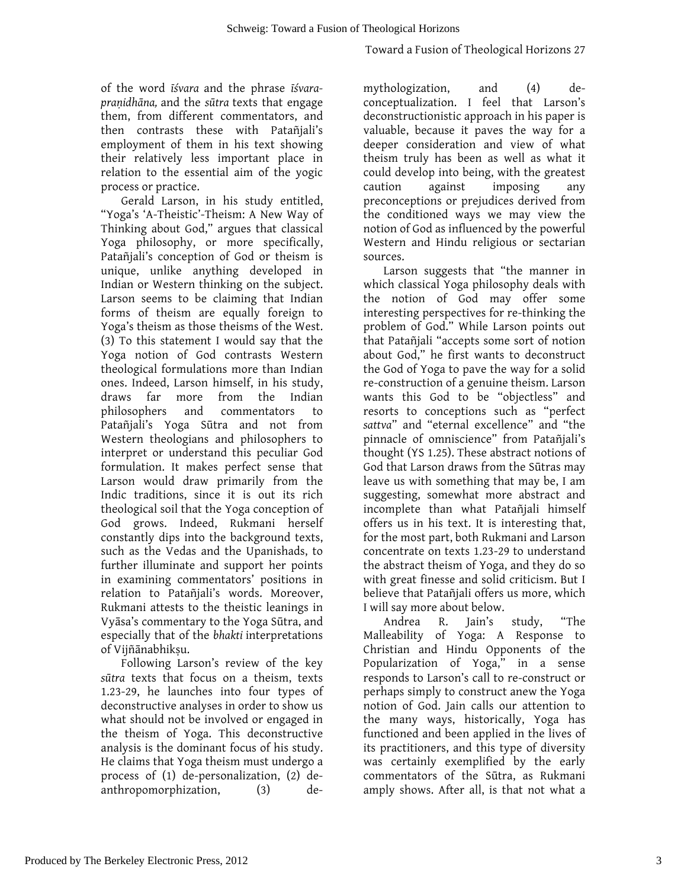of the word *īśvara* and the phrase *īśvarapraṇidhāna,* and the *sūtra* texts that engage them, from different commentators, and then contrasts these with Patañjali's employment of them in his text showing their relatively less important place in relation to the essential aim of the yogic process or practice.

Gerald Larson, in his study entitled, "Yoga's 'A-Theistic'-Theism: A New Way of Thinking about God," argues that classical Yoga philosophy, or more specifically, Patañjali's conception of God or theism is unique, unlike anything developed in Indian or Western thinking on the subject. Larson seems to be claiming that Indian forms of theism are equally foreign to Yoga's theism as those theisms of the West. (3) To this statement I would say that the Yoga notion of God contrasts Western theological formulations more than Indian ones. Indeed, Larson himself, in his study, draws far more from the Indian philosophers and commentators to Patañjali's Yoga Sūtra and not from Western theologians and philosophers to interpret or understand this peculiar God formulation. It makes perfect sense that Larson would draw primarily from the Indic traditions, since it is out its rich theological soil that the Yoga conception of God grows. Indeed, Rukmani herself constantly dips into the background texts, such as the Vedas and the Upanishads, to further illuminate and support her points in examining commentators' positions in relation to Patañjali's words. Moreover, Rukmani attests to the theistic leanings in Vyāsa's commentary to the Yoga Sūtra, and especially that of the *bhakti* interpretations of Vijñānabhiksu.

Following Larson's review of the key *sūtra* texts that focus on a theism, texts 1.23-29, he launches into four types of deconstructive analyses in order to show us what should not be involved or engaged in the theism of Yoga. This deconstructive analysis is the dominant focus of his study. He claims that Yoga theism must undergo a process of (1) de-personalization, (2) deanthropomorphization, (3) demythologization, and (4) deconceptualization. I feel that Larson's deconstructionistic approach in his paper is valuable, because it paves the way for a deeper consideration and view of what theism truly has been as well as what it could develop into being, with the greatest caution against imposing any preconceptions or prejudices derived from the conditioned ways we may view the notion of God as influenced by the powerful Western and Hindu religious or sectarian sources.

Larson suggests that "the manner in which classical Yoga philosophy deals with the notion of God may offer some interesting perspectives for re-thinking the problem of God." While Larson points out that Patañjali "accepts some sort of notion about God," he first wants to deconstruct the God of Yoga to pave the way for a solid re-construction of a genuine theism. Larson wants this God to be "objectless" and resorts to conceptions such as "perfect *sattva*" and "eternal excellence" and "the pinnacle of omniscience" from Patañjali's thought (YS 1.25). These abstract notions of God that Larson draws from the Sūtras may leave us with something that may be, I am suggesting, somewhat more abstract and incomplete than what Patañjali himself offers us in his text. It is interesting that, for the most part, both Rukmani and Larson concentrate on texts 1.23-29 to understand the abstract theism of Yoga, and they do so with great finesse and solid criticism. But I believe that Patañjali offers us more, which I will say more about below.

Andrea R. Jain's study, "The Malleability of Yoga: A Response to Christian and Hindu Opponents of the Popularization of Yoga," in a sense responds to Larson's call to re-construct or perhaps simply to construct anew the Yoga notion of God. Jain calls our attention to the many ways, historically, Yoga has functioned and been applied in the lives of its practitioners, and this type of diversity was certainly exemplified by the early commentators of the Sūtra, as Rukmani amply shows. After all, is that not what a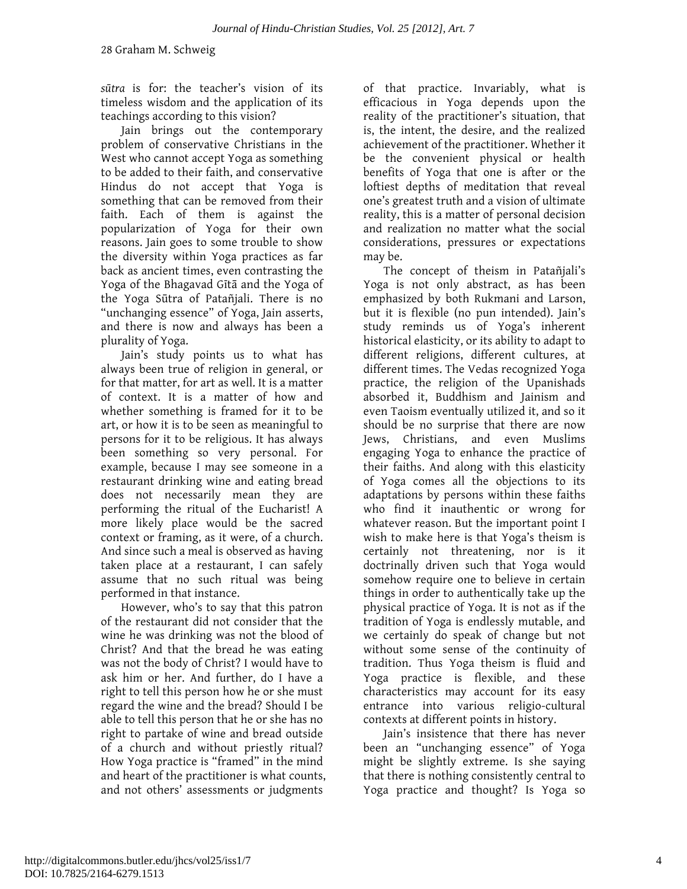*sūtra* is for: the teacher's vision of its timeless wisdom and the application of its teachings according to this vision?

Jain brings out the contemporary problem of conservative Christians in the West who cannot accept Yoga as something to be added to their faith, and conservative Hindus do not accept that Yoga is something that can be removed from their faith. Each of them is against the popularization of Yoga for their own reasons. Jain goes to some trouble to show the diversity within Yoga practices as far back as ancient times, even contrasting the Yoga of the Bhagavad Gītā and the Yoga of the Yoga Sūtra of Patañjali. There is no "unchanging essence" of Yoga, Jain asserts, and there is now and always has been a plurality of Yoga.

Jain's study points us to what has always been true of religion in general, or for that matter, for art as well. It is a matter of context. It is a matter of how and whether something is framed for it to be art, or how it is to be seen as meaningful to persons for it to be religious. It has always been something so very personal. For example, because I may see someone in a restaurant drinking wine and eating bread does not necessarily mean they are performing the ritual of the Eucharist! A more likely place would be the sacred context or framing, as it were, of a church. And since such a meal is observed as having taken place at a restaurant, I can safely assume that no such ritual was being performed in that instance.

However, who's to say that this patron of the restaurant did not consider that the wine he was drinking was not the blood of Christ? And that the bread he was eating was not the body of Christ? I would have to ask him or her. And further, do I have a right to tell this person how he or she must regard the wine and the bread? Should I be able to tell this person that he or she has no right to partake of wine and bread outside of a church and without priestly ritual? How Yoga practice is "framed" in the mind and heart of the practitioner is what counts, and not others' assessments or judgments

of that practice. Invariably, what is efficacious in Yoga depends upon the reality of the practitioner's situation, that is, the intent, the desire, and the realized achievement of the practitioner. Whether it be the convenient physical or health benefits of Yoga that one is after or the loftiest depths of meditation that reveal one's greatest truth and a vision of ultimate reality, this is a matter of personal decision and realization no matter what the social considerations, pressures or expectations may be.

The concept of theism in Patañjali's Yoga is not only abstract, as has been emphasized by both Rukmani and Larson, but it is flexible (no pun intended). Jain's study reminds us of Yoga's inherent historical elasticity, or its ability to adapt to different religions, different cultures, at different times. The Vedas recognized Yoga practice, the religion of the Upanishads absorbed it, Buddhism and Jainism and even Taoism eventually utilized it, and so it should be no surprise that there are now Jews, Christians, and even Muslims engaging Yoga to enhance the practice of their faiths. And along with this elasticity of Yoga comes all the objections to its adaptations by persons within these faiths who find it inauthentic or wrong for whatever reason. But the important point I wish to make here is that Yoga's theism is certainly not threatening, nor is it doctrinally driven such that Yoga would somehow require one to believe in certain things in order to authentically take up the physical practice of Yoga. It is not as if the tradition of Yoga is endlessly mutable, and we certainly do speak of change but not without some sense of the continuity of tradition. Thus Yoga theism is fluid and Yoga practice is flexible, and these characteristics may account for its easy entrance into various religio-cultural contexts at different points in history.

Jain's insistence that there has never been an "unchanging essence" of Yoga might be slightly extreme. Is she saying that there is nothing consistently central to Yoga practice and thought? Is Yoga so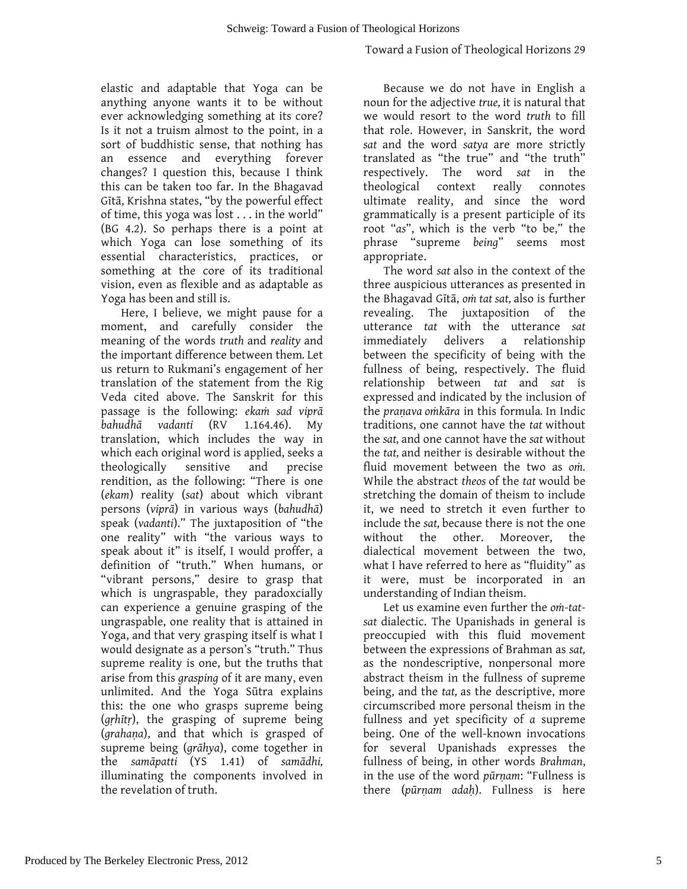elastic and adaptable that Yoga can be anything anyone wants it to be without ever acknowledging something at its core? Is it not a truism almost to the point, in a sort of buddhistic sense, that nothing has an essence and everything forever changes? I question this, because I think this can be taken too far. In the Bhagavad Gītā, Krishna states, "by the powerful effect of time, this yoga was lost . . . in the world" (BG 4.2). So perhaps there is a point at which Yoga can lose something of its essential characteristics, practices, or something at the core of its traditional vision, even as flexible and as adaptable as Yoga has been and still is.

Here, I believe, we might pause for a moment, and carefully consider the meaning of the words *truth* and *reality* and the important difference between them*.* Let us return to Rukmani's engagement of her translation of the statement from the Rig Veda cited above. The Sanskrit for this passage is the following: *ekaṁ sad viprā bahudhā vadanti* (RV 1.164.46). My translation, which includes the way in which each original word is applied, seeks a theologically sensitive and precise rendition, as the following: "There is one (*ekam*) reality (*sat*) about which vibrant persons (*viprā*) in various ways (*bahudhā*) speak (*vadanti*)." The juxtaposition of "the one reality" with "the various ways to speak about it" is itself, I would proffer, a definition of "truth." When humans, or "vibrant persons," desire to grasp that which is ungraspable, they paradoxcially can experience a genuine grasping of the ungraspable, one reality that is attained in Yoga, and that very grasping itself is what I would designate as a person's "truth." Thus supreme reality is one, but the truths that arise from this *grasping* of it are many, even unlimited. And the Yoga Sūtra explains this: the one who grasps supreme being (*gṛhītṛ*), the grasping of supreme being (*grahaṇa*), and that which is grasped of supreme being (*grāhya*), come together in the *samāpatti* (YS 1.41) of *samādhi,*  illuminating the components involved in the revelation of truth.

Because we do not have in English a noun for the adjective *true,* it is natural that we would resort to the word *truth* to fill that role. However, in Sanskrit, the word *sat* and the word *satya* are more strictly translated as "the true" and "the truth" respectively. The word *sat* in the theological context really connotes ultimate reality, and since the word grammatically is a present participle of its root "*as*", which is the verb "to be," the phrase "supreme *being*" seems most appropriate.

The word *sat* also in the context of the three auspicious utterances as presented in the Bhagavad Gītā, *oṁ tat sat,* also is further revealing. The juxtaposition of the utterance *tat* with the utterance *sat*  immediately delivers a relationship between the specificity of being with the fullness of being, respectively. The fluid relationship between *tat* and *sat* is expressed and indicated by the inclusion of the *praṇava oṁkāra* in this formula*.* In Indic traditions, one cannot have the *tat* without the *sat,* and one cannot have the *sat* without the *tat,* and neither is desirable without the fluid movement between the two as *oṁ.*  While the abstract *theos* of the *tat* would be stretching the domain of theism to include it, we need to stretch it even further to include the *sat,* because there is not the one without the other. Moreover, the dialectical movement between the two, what I have referred to here as "fluidity" as it were, must be incorporated in an understanding of Indian theism.

Let us examine even further the *oṁ-tatsat* dialectic. The Upanishads in general is preoccupied with this fluid movement between the expressions of Brahman as *sat,*  as the nondescriptive, nonpersonal more abstract theism in the fullness of supreme being, and the *tat,* as the descriptive, more circumscribed more personal theism in the fullness and yet specificity of *a* supreme being. One of the well-known invocations for several Upanishads expresses the fullness of being, in other words *Brahman*, in the use of the word *pūrṇam*: "Fullness is there (*pūrṇam adaḥ*). Fullness is here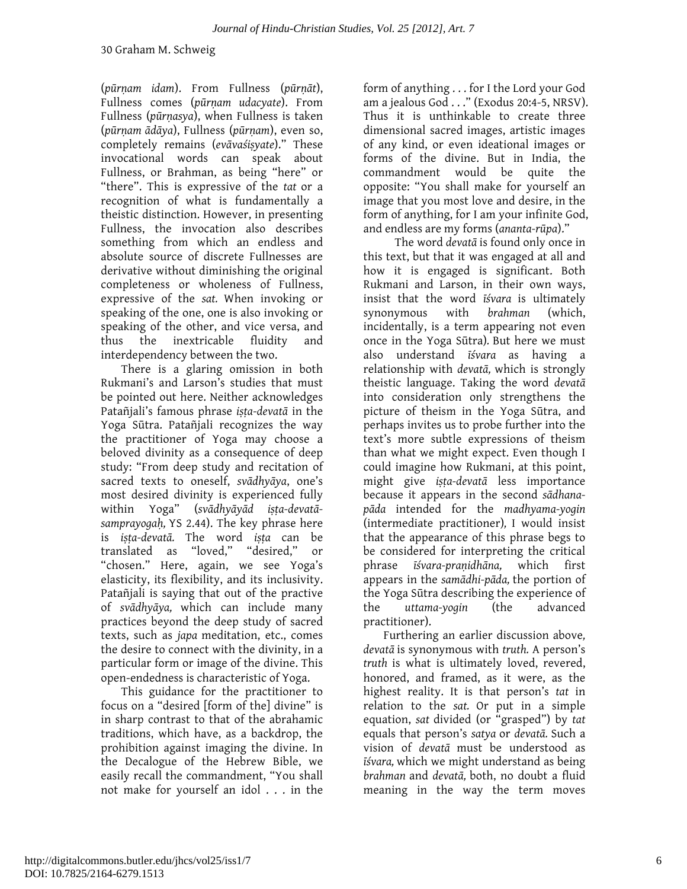(*pūrṇam idam*). From Fullness (*pūrṇāt*), Fullness comes (*pūrṇam udacyate*). From Fullness (*pūrṇasya*), when Fullness is taken (*pūrṇam ādāya*), Fullness (*pūrṇam*), even so, completely remains (*evāvaśiṣyate*)." These invocational words can speak about Fullness, or Brahman, as being "here" or "there". This is expressive of the *tat* or a recognition of what is fundamentally a theistic distinction. However, in presenting Fullness, the invocation also describes something from which an endless and absolute source of discrete Fullnesses are derivative without diminishing the original completeness or wholeness of Fullness, expressive of the *sat.* When invoking or speaking of the one, one is also invoking or speaking of the other, and vice versa, and thus the inextricable fluidity and interdependency between the two.

There is a glaring omission in both Rukmani's and Larson's studies that must be pointed out here. Neither acknowledges Patañjali's famous phrase *iṣṭa-devatā* in the Yoga Sūtra. Patañjali recognizes the way the practitioner of Yoga may choose a beloved divinity as a consequence of deep study: "From deep study and recitation of sacred texts to oneself, *svādhyāya*, one's most desired divinity is experienced fully within Yoga" (*svādhyāyād iṣṭa-devatāsamprayogaḥ,* YS 2.44). The key phrase here is *iṣṭa-devatā.* The word *iṣṭa* can be translated as "loved," "desired," or "chosen." Here, again, we see Yoga's elasticity, its flexibility, and its inclusivity. Patañjali is saying that out of the practive of *svādhyāya,* which can include many practices beyond the deep study of sacred texts, such as *japa* meditation, etc., comes the desire to connect with the divinity, in a particular form or image of the divine. This open-endedness is characteristic of Yoga.

This guidance for the practitioner to focus on a "desired [form of the] divine" is in sharp contrast to that of the abrahamic traditions, which have, as a backdrop, the prohibition against imaging the divine. In the Decalogue of the Hebrew Bible, we easily recall the commandment, "You shall not make for yourself an idol . . . in the

form of anything . . . for I the Lord your God am a jealous God . . ." (Exodus 20:4-5, NRSV). Thus it is unthinkable to create three dimensional sacred images, artistic images of any kind, or even ideational images or forms of the divine. But in India, the commandment would be quite the opposite: "You shall make for yourself an image that you most love and desire, in the form of anything, for I am your infinite God, and endless are my forms (*ananta-rūpa*)."

The word *devatā* is found only once in this text, but that it was engaged at all and how it is engaged is significant. Both Rukmani and Larson, in their own ways, insist that the word *īśvara* is ultimately synonymous with *brahman* (which, incidentally, is a term appearing not even once in the Yoga Sūtra)*.* But here we must also understand *īśvara* as having a relationship with *devatā,* which is strongly theistic language. Taking the word *devatā* into consideration only strengthens the picture of theism in the Yoga Sūtra, and perhaps invites us to probe further into the text's more subtle expressions of theism than what we might expect. Even though I could imagine how Rukmani, at this point, might give *iṣṭa-devatā* less importance because it appears in the second *sādhanapāda* intended for the *madhyama-yogin*  (intermediate practitioner)*,* I would insist that the appearance of this phrase begs to be considered for interpreting the critical phrase *īśvara-praṇidhāna,* which first appears in the *samādhi-pāda,* the portion of the Yoga Sūtra describing the experience of the *uttama-yogin* (the advanced practitioner).

Furthering an earlier discussion above*, devatā* is synonymous with *truth.* A person's *truth* is what is ultimately loved, revered, honored, and framed, as it were, as the highest reality. It is that person's *tat* in relation to the *sat.* Or put in a simple equation, *sat* divided (or "grasped") by *tat*  equals that person's *satya* or *devatā.* Such a vision of *devatā* must be understood as *īśvara,* which we might understand as being *brahman* and *devatā,* both, no doubt a fluid meaning in the way the term moves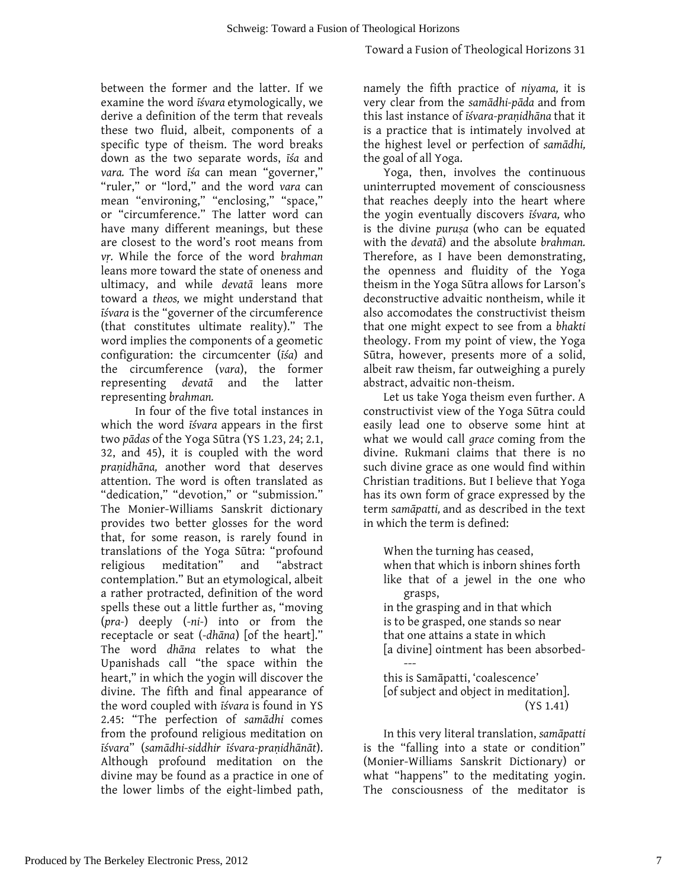### Toward a Fusion of Theological Horizons 31

between the former and the latter. If we examine the word *īśvara* etymologically, we derive a definition of the term that reveals these two fluid, albeit, components of a specific type of theism. The word breaks down as the two separate words, *īśa* and *vara.* The word *īśa* can mean "governer," "ruler," or "lord," and the word *vara* can mean "environing," "enclosing," "space," or "circumference." The latter word can have many different meanings, but these are closest to the word's root means from *vṛ.* While the force of the word *brahman*  leans more toward the state of oneness and ultimacy, and while *devatā* leans more toward a *theos,* we might understand that *īśvara* is the "governer of the circumference (that constitutes ultimate reality)." The word implies the components of a geometic configuration: the circumcenter (*īśa*) and the circumference (*vara*), the former representing *devatā* and the latter representing *brahman.* 

In four of the five total instances in which the word *īśvara* appears in the first two *pādas* of the Yoga Sūtra (YS 1.23, 24; 2.1, 32, and 45), it is coupled with the word *praṇidhāna,* another word that deserves attention. The word is often translated as "dedication," "devotion," or "submission." The Monier-Williams Sanskrit dictionary provides two better glosses for the word that, for some reason, is rarely found in translations of the Yoga Sūtra: "profound religious meditation" and "abstract contemplation." But an etymological, albeit a rather protracted, definition of the word spells these out a little further as, "moving (*pra-*) deeply (*-ni-*) into or from the receptacle or seat (*-dhāna*) [of the heart]." The word *dhāna* relates to what the Upanishads call "the space within the heart," in which the yogin will discover the divine. The fifth and final appearance of the word coupled with *īśvara* is found in YS 2.45: "The perfection of *samādhi* comes from the profound religious meditation on *īśvara*" (*samādhi-siddhir īśvara-praṇidhānāt*). Although profound meditation on the divine may be found as a practice in one of the lower limbs of the eight-limbed path,

namely the fifth practice of *niyama,* it is very clear from the *samādhi-pāda* and from this last instance of *īśvara-praṇidhāna* that it is a practice that is intimately involved at the highest level or perfection of *samādhi,*  the goal of all Yoga.

Yoga, then, involves the continuous uninterrupted movement of consciousness that reaches deeply into the heart where the yogin eventually discovers *īśvara,* who is the divine *puruṣa* (who can be equated with the *devatā*) and the absolute *brahman.* Therefore, as I have been demonstrating, the openness and fluidity of the Yoga theism in the Yoga Sūtra allows for Larson's deconstructive advaitic nontheism, while it also accomodates the constructivist theism that one might expect to see from a *bhakti* theology. From my point of view, the Yoga Sūtra, however, presents more of a solid, albeit raw theism, far outweighing a purely abstract, advaitic non-theism.

Let us take Yoga theism even further. A constructivist view of the Yoga Sūtra could easily lead one to observe some hint at what we would call *grace* coming from the divine. Rukmani claims that there is no such divine grace as one would find within Christian traditions. But I believe that Yoga has its own form of grace expressed by the term *samāpatti,* and as described in the text in which the term is defined:

When the turning has ceased, when that which is inborn shines forth like that of a jewel in the one who grasps,

in the grasping and in that which is to be grasped, one stands so near that one attains a state in which [a divine] ointment has been absorbed-

-- this is Samāpatti, 'coalescence' [of subject and object in meditation]. (YS 1.41)

In this very literal translation, *samāpatti*  is the "falling into a state or condition" (Monier-Williams Sanskrit Dictionary) or what "happens" to the meditating yogin. The consciousness of the meditator is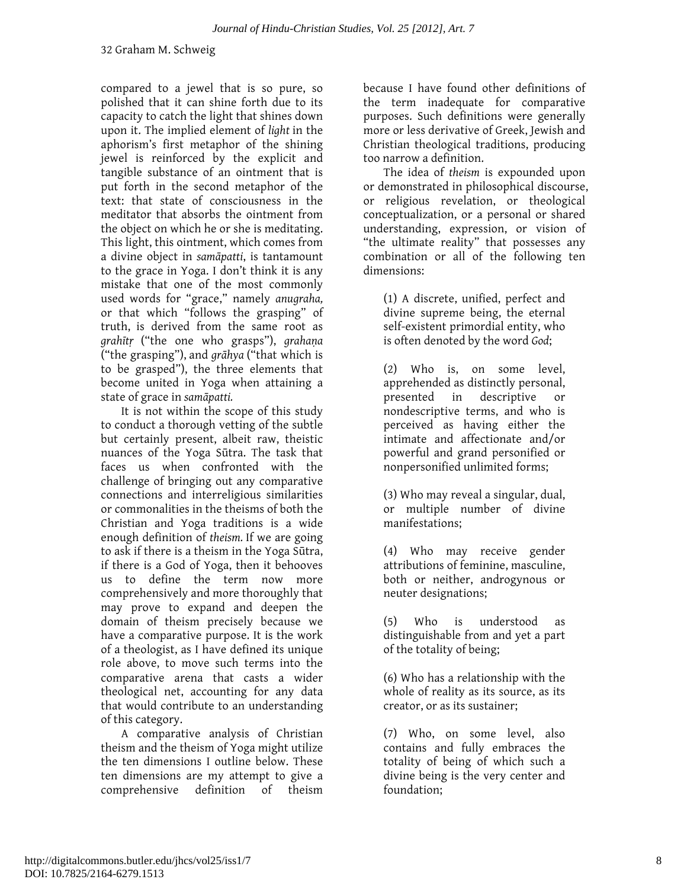compared to a jewel that is so pure, so polished that it can shine forth due to its capacity to catch the light that shines down upon it. The implied element of *light* in the aphorism's first metaphor of the shining jewel is reinforced by the explicit and tangible substance of an ointment that is put forth in the second metaphor of the text: that state of consciousness in the meditator that absorbs the ointment from the object on which he or she is meditating. This light, this ointment, which comes from a divine object in *samāpatti*, is tantamount to the grace in Yoga. I don't think it is any mistake that one of the most commonly used words for "grace," namely *anugraha,* or that which "follows the grasping" of truth, is derived from the same root as *grahītṛ* ("the one who grasps"), *grahaṇa*  ("the grasping"), and *grāhya* ("that which is to be grasped"), the three elements that become united in Yoga when attaining a state of grace in *samāpatti.*

It is not within the scope of this study to conduct a thorough vetting of the subtle but certainly present, albeit raw, theistic nuances of the Yoga Sūtra. The task that faces us when confronted with the challenge of bringing out any comparative connections and interreligious similarities or commonalities in the theisms of both the Christian and Yoga traditions is a wide enough definition of *theism.* If we are going to ask if there is a theism in the Yoga Sūtra, if there is a God of Yoga, then it behooves us to define the term now more comprehensively and more thoroughly that may prove to expand and deepen the domain of theism precisely because we have a comparative purpose. It is the work of a theologist, as I have defined its unique role above, to move such terms into the comparative arena that casts a wider theological net, accounting for any data that would contribute to an understanding of this category.

A comparative analysis of Christian theism and the theism of Yoga might utilize the ten dimensions I outline below. These ten dimensions are my attempt to give a comprehensive definition of theism

because I have found other definitions of the term inadequate for comparative purposes. Such definitions were generally more or less derivative of Greek, Jewish and Christian theological traditions, producing too narrow a definition.

The idea of *theism* is expounded upon or demonstrated in philosophical discourse, or religious revelation, or theological conceptualization, or a personal or shared understanding, expression, or vision of "the ultimate reality" that possesses any combination or all of the following ten dimensions:

(1) A discrete, unified, perfect and divine supreme being, the eternal self-existent primordial entity, who is often denoted by the word *God*;

(2) Who is, on some level, apprehended as distinctly personal, presented in descriptive or nondescriptive terms, and who is perceived as having either the intimate and affectionate and/or powerful and grand personified or nonpersonified unlimited forms;

(3) Who may reveal a singular, dual, or multiple number of divine manifestations;

(4) Who may receive gender attributions of feminine, masculine, both or neither, androgynous or neuter designations;

(5) Who is understood as distinguishable from and yet a part of the totality of being;

(6) Who has a relationship with the whole of reality as its source, as its creator, or as its sustainer;

(7) Who, on some level, also contains and fully embraces the totality of being of which such a divine being is the very center and foundation;